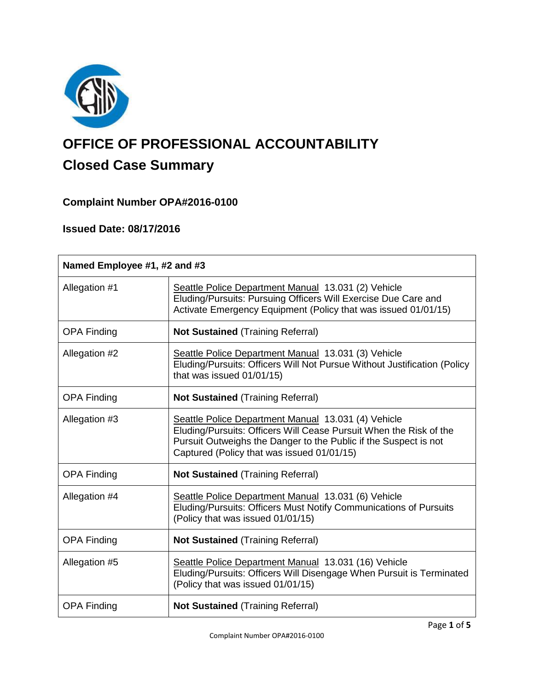

# **OFFICE OF PROFESSIONAL ACCOUNTABILITY Closed Case Summary**

# **Complaint Number OPA#2016-0100**

# **Issued Date: 08/17/2016**

| Named Employee #1, #2 and #3 |                                                                                                                                                                                                                                             |  |
|------------------------------|---------------------------------------------------------------------------------------------------------------------------------------------------------------------------------------------------------------------------------------------|--|
| Allegation #1                | Seattle Police Department Manual 13.031 (2) Vehicle<br>Eluding/Pursuits: Pursuing Officers Will Exercise Due Care and<br>Activate Emergency Equipment (Policy that was issued 01/01/15)                                                     |  |
| <b>OPA Finding</b>           | <b>Not Sustained (Training Referral)</b>                                                                                                                                                                                                    |  |
| Allegation #2                | Seattle Police Department Manual 13.031 (3) Vehicle<br>Eluding/Pursuits: Officers Will Not Pursue Without Justification (Policy<br>that was issued 01/01/15)                                                                                |  |
| <b>OPA Finding</b>           | <b>Not Sustained (Training Referral)</b>                                                                                                                                                                                                    |  |
| Allegation #3                | Seattle Police Department Manual 13.031 (4) Vehicle<br>Eluding/Pursuits: Officers Will Cease Pursuit When the Risk of the<br>Pursuit Outweighs the Danger to the Public if the Suspect is not<br>Captured (Policy that was issued 01/01/15) |  |
| <b>OPA Finding</b>           | <b>Not Sustained (Training Referral)</b>                                                                                                                                                                                                    |  |
| Allegation #4                | Seattle Police Department Manual 13.031 (6) Vehicle<br>Eluding/Pursuits: Officers Must Notify Communications of Pursuits<br>(Policy that was issued 01/01/15)                                                                               |  |
| <b>OPA Finding</b>           | <b>Not Sustained (Training Referral)</b>                                                                                                                                                                                                    |  |
| Allegation #5                | Seattle Police Department Manual 13.031 (16) Vehicle<br>Eluding/Pursuits: Officers Will Disengage When Pursuit is Terminated<br>(Policy that was issued 01/01/15)                                                                           |  |
| <b>OPA Finding</b>           | <b>Not Sustained (Training Referral)</b>                                                                                                                                                                                                    |  |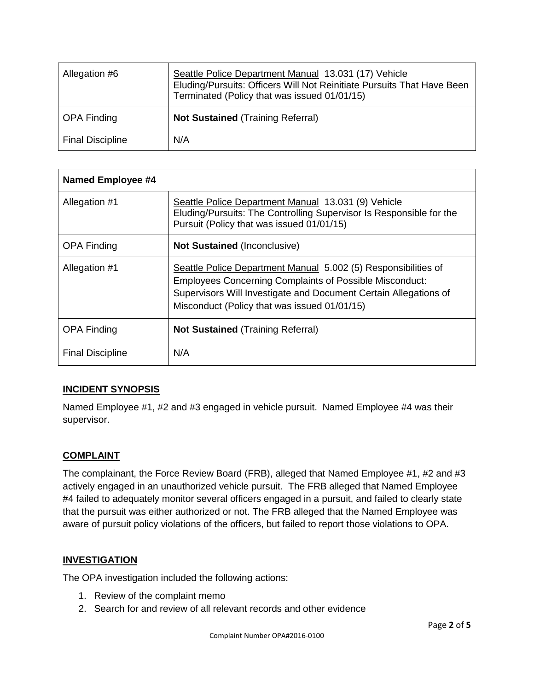| Allegation #6           | Seattle Police Department Manual 13.031 (17) Vehicle<br>Eluding/Pursuits: Officers Will Not Reinitiate Pursuits That Have Been<br>Terminated (Policy that was issued 01/01/15) |
|-------------------------|--------------------------------------------------------------------------------------------------------------------------------------------------------------------------------|
| <b>OPA Finding</b>      | <b>Not Sustained (Training Referral)</b>                                                                                                                                       |
| <b>Final Discipline</b> | N/A                                                                                                                                                                            |

| Named Employee #4       |                                                                                                                                                                                                                                                      |
|-------------------------|------------------------------------------------------------------------------------------------------------------------------------------------------------------------------------------------------------------------------------------------------|
| Allegation #1           | Seattle Police Department Manual 13.031 (9) Vehicle<br>Eluding/Pursuits: The Controlling Supervisor Is Responsible for the<br>Pursuit (Policy that was issued 01/01/15)                                                                              |
| <b>OPA Finding</b>      | <b>Not Sustained (Inconclusive)</b>                                                                                                                                                                                                                  |
| Allegation #1           | Seattle Police Department Manual 5.002 (5) Responsibilities of<br><b>Employees Concerning Complaints of Possible Misconduct:</b><br>Supervisors Will Investigate and Document Certain Allegations of<br>Misconduct (Policy that was issued 01/01/15) |
| <b>OPA Finding</b>      | <b>Not Sustained (Training Referral)</b>                                                                                                                                                                                                             |
| <b>Final Discipline</b> | N/A                                                                                                                                                                                                                                                  |

# **INCIDENT SYNOPSIS**

Named Employee #1, #2 and #3 engaged in vehicle pursuit. Named Employee #4 was their supervisor.

# **COMPLAINT**

The complainant, the Force Review Board (FRB), alleged that Named Employee #1, #2 and #3 actively engaged in an unauthorized vehicle pursuit. The FRB alleged that Named Employee #4 failed to adequately monitor several officers engaged in a pursuit, and failed to clearly state that the pursuit was either authorized or not. The FRB alleged that the Named Employee was aware of pursuit policy violations of the officers, but failed to report those violations to OPA.

# **INVESTIGATION**

The OPA investigation included the following actions:

- 1. Review of the complaint memo
- 2. Search for and review of all relevant records and other evidence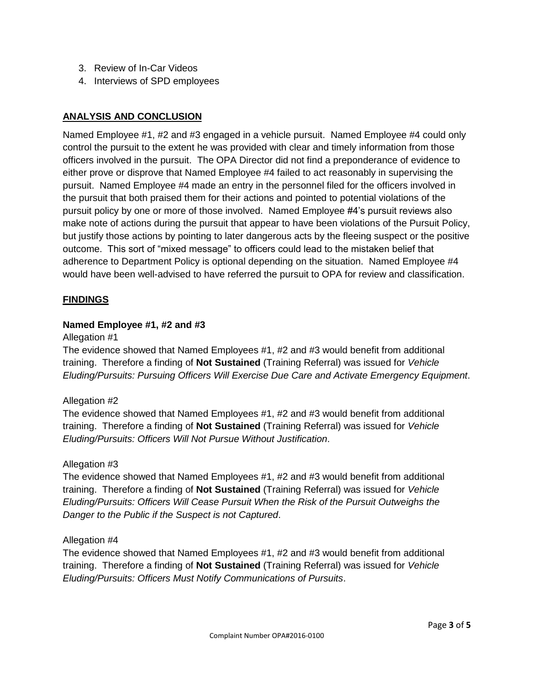- 3. Review of In-Car Videos
- 4. Interviews of SPD employees

# **ANALYSIS AND CONCLUSION**

Named Employee #1, #2 and #3 engaged in a vehicle pursuit. Named Employee #4 could only control the pursuit to the extent he was provided with clear and timely information from those officers involved in the pursuit. The OPA Director did not find a preponderance of evidence to either prove or disprove that Named Employee #4 failed to act reasonably in supervising the pursuit. Named Employee #4 made an entry in the personnel filed for the officers involved in the pursuit that both praised them for their actions and pointed to potential violations of the pursuit policy by one or more of those involved. Named Employee #4's pursuit reviews also make note of actions during the pursuit that appear to have been violations of the Pursuit Policy, but justify those actions by pointing to later dangerous acts by the fleeing suspect or the positive outcome. This sort of "mixed message" to officers could lead to the mistaken belief that adherence to Department Policy is optional depending on the situation. Named Employee #4 would have been well-advised to have referred the pursuit to OPA for review and classification.

# **FINDINGS**

# **Named Employee #1, #2 and #3**

#### Allegation #1

The evidence showed that Named Employees #1, #2 and #3 would benefit from additional training. Therefore a finding of **Not Sustained** (Training Referral) was issued for *Vehicle Eluding/Pursuits: Pursuing Officers Will Exercise Due Care and Activate Emergency Equipment*.

# Allegation #2

The evidence showed that Named Employees #1, #2 and #3 would benefit from additional training. Therefore a finding of **Not Sustained** (Training Referral) was issued for *Vehicle Eluding/Pursuits: Officers Will Not Pursue Without Justification*.

# Allegation #3

The evidence showed that Named Employees #1, #2 and #3 would benefit from additional training. Therefore a finding of **Not Sustained** (Training Referral) was issued for *Vehicle Eluding/Pursuits: Officers Will Cease Pursuit When the Risk of the Pursuit Outweighs the Danger to the Public if the Suspect is not Captured*.

# Allegation #4

The evidence showed that Named Employees #1, #2 and #3 would benefit from additional training. Therefore a finding of **Not Sustained** (Training Referral) was issued for *Vehicle Eluding/Pursuits: Officers Must Notify Communications of Pursuits*.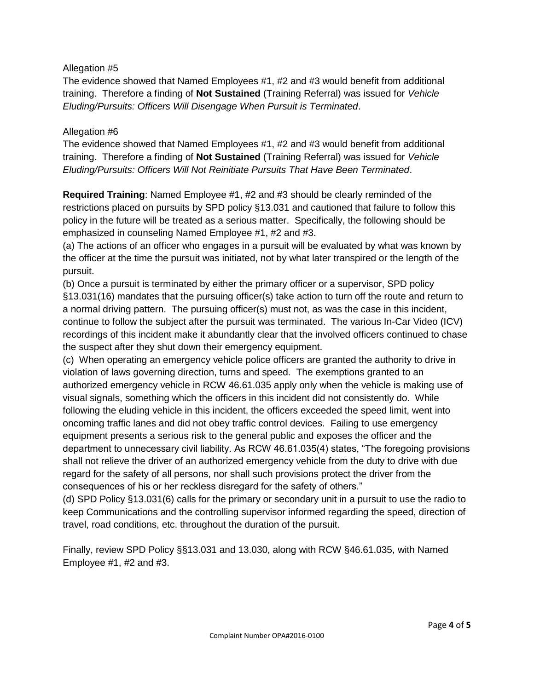# Allegation #5

The evidence showed that Named Employees #1, #2 and #3 would benefit from additional training. Therefore a finding of **Not Sustained** (Training Referral) was issued for *Vehicle Eluding/Pursuits: Officers Will Disengage When Pursuit is Terminated*.

#### Allegation #6

The evidence showed that Named Employees #1, #2 and #3 would benefit from additional training. Therefore a finding of **Not Sustained** (Training Referral) was issued for *Vehicle Eluding/Pursuits: Officers Will Not Reinitiate Pursuits That Have Been Terminated*.

**Required Training**: Named Employee #1, #2 and #3 should be clearly reminded of the restrictions placed on pursuits by SPD policy §13.031 and cautioned that failure to follow this policy in the future will be treated as a serious matter. Specifically, the following should be emphasized in counseling Named Employee #1, #2 and #3.

(a) The actions of an officer who engages in a pursuit will be evaluated by what was known by the officer at the time the pursuit was initiated, not by what later transpired or the length of the pursuit.

(b) Once a pursuit is terminated by either the primary officer or a supervisor, SPD policy §13.031(16) mandates that the pursuing officer(s) take action to turn off the route and return to a normal driving pattern. The pursuing officer(s) must not, as was the case in this incident, continue to follow the subject after the pursuit was terminated. The various In-Car Video (ICV) recordings of this incident make it abundantly clear that the involved officers continued to chase the suspect after they shut down their emergency equipment.

(c) When operating an emergency vehicle police officers are granted the authority to drive in violation of laws governing direction, turns and speed. The exemptions granted to an authorized emergency vehicle in RCW 46.61.035 apply only when the vehicle is making use of visual signals, something which the officers in this incident did not consistently do. While following the eluding vehicle in this incident, the officers exceeded the speed limit, went into oncoming traffic lanes and did not obey traffic control devices. Failing to use emergency equipment presents a serious risk to the general public and exposes the officer and the department to unnecessary civil liability. As RCW 46.61.035(4) states, "The foregoing provisions shall not relieve the driver of an authorized emergency vehicle from the duty to drive with due regard for the safety of all persons, nor shall such provisions protect the driver from the consequences of his or her reckless disregard for the safety of others."

(d) SPD Policy §13.031(6) calls for the primary or secondary unit in a pursuit to use the radio to keep Communications and the controlling supervisor informed regarding the speed, direction of travel, road conditions, etc. throughout the duration of the pursuit.

Finally, review SPD Policy §§13.031 and 13.030, along with RCW §46.61.035, with Named Employee #1, #2 and #3.